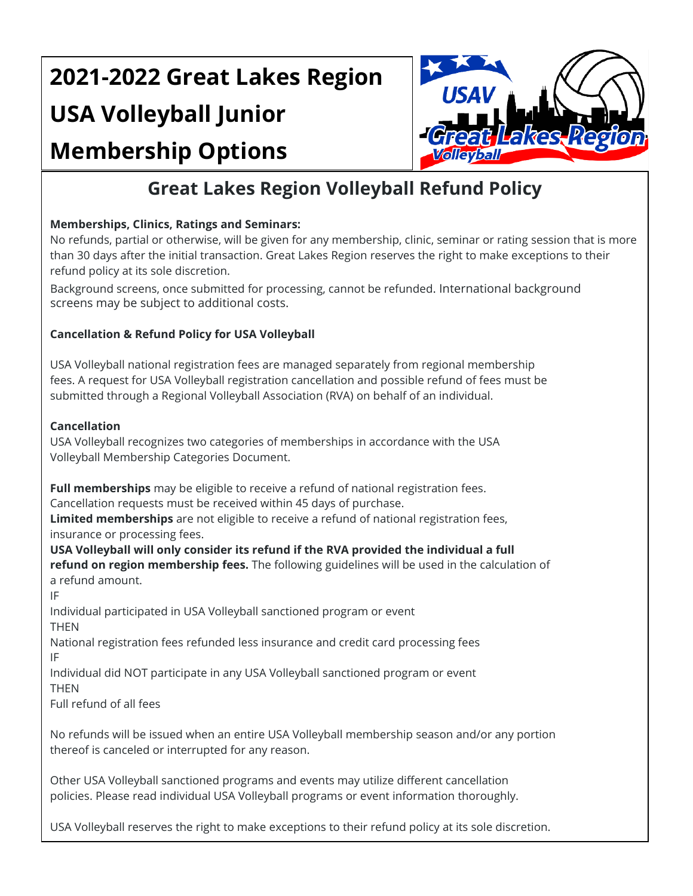# **2021-2022 Great Lakes Region USA Volleyball Junior Membership Options**



# **Great Lakes Region Volleyball Refund Policy**

## **Memberships, Clinics, Ratings and Seminars:**

No refunds, partial or otherwise, will be given for any membership, clinic, seminar or rating session that is more than 30 days after the initial transaction. Great Lakes Region reserves the right to make exceptions to their refund policy at its sole discretion.

Background screens, once submitted for processing, cannot be refunded. International background screens may be subject to additional costs.

#### **Cancellation & Refund Policy for USA Volleyball**

USA Volleyball national registration fees are managed separately from regional membership fees. A request for USA Volleyball registration cancellation and possible refund of fees must be submitted through a Regional Volleyball Association (RVA) on behalf of an individual.

#### **Cancellation**

USA Volleyball recognizes two categories of memberships in accordance with the USA Volleyball Membership Categories Document.

**Full memberships** may be eligible to receive a refund of national registration fees.

Cancellation requests must be received within 45 days of purchase.

**Limited memberships** are not eligible to receive a refund of national registration fees,

insurance or processing fees.

**USA Volleyball will only consider its refund if the RVA provided the individual a full refund on region membership fees.** The following guidelines will be used in the calculation of a refund amount.

IF

Individual participated in USA Volleyball sanctioned program or event THEN

National registration fees refunded less insurance and credit card processing fees IF

Individual did NOT participate in any USA Volleyball sanctioned program or event **THEN** 

Full refund of all fees

No refunds will be issued when an entire USA Volleyball membership season and/or any portion thereof is canceled or interrupted for any reason.

Other USA Volleyball sanctioned programs and events may utilize different cancellation policies. Please read individual USA Volleyball programs or event information thoroughly.

USA Volleyball reserves the right to make exceptions to their refund policy at its sole discretion.